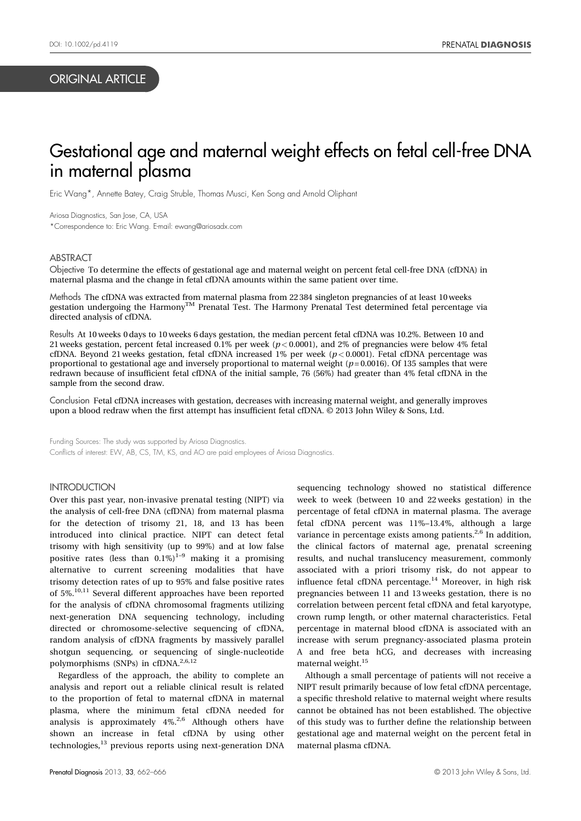# ORIGINAL ARTICLE

# Gestational age and maternal weight effects on fetal cell-free DNA in maternal plasma

Eric Wang\*, Annette Batey, Craig Struble, Thomas Musci, Ken Song and Arnold Oliphant

Ariosa Diagnostics, San Jose, CA, USA \*Correspondence to: Eric Wang. E-mail: ewang@ariosadx.com

# ABSTRACT

Objective To determine the effects of gestational age and maternal weight on percent fetal cell-free DNA (cfDNA) in maternal plasma and the change in fetal cfDNA amounts within the same patient over time.

Methods The cfDNA was extracted from maternal plasma from 22 384 singleton pregnancies of at least 10 weeks gestation undergoing the Harmony<sup>TM</sup> Prenatal Test. The Harmony Prenatal Test determined fetal percentage via directed analysis of cfDNA.

Results At 10 weeks 0 days to 10 weeks 6 days gestation, the median percent fetal cfDNA was 10.2%. Between 10 and 21 weeks gestation, percent fetal increased 0.1% per week ( $p < 0.0001$ ), and 2% of pregnancies were below 4% fetal cfDNA. Beyond 21 weeks gestation, fetal cfDNA increased 1% per week ( $p < 0.0001$ ). Fetal cfDNA percentage was proportional to gestational age and inversely proportional to maternal weight ( $p = 0.0016$ ). Of 135 samples that were redrawn because of insufficient fetal cfDNA of the initial sample, 76 (56%) had greater than 4% fetal cfDNA in the sample from the second draw.

Conclusion Fetal cfDNA increases with gestation, decreases with increasing maternal weight, and generally improves upon a blood redraw when the first attempt has insufficient fetal cfDNA. © 2013 John Wiley & Sons, Ltd.

Funding Sources: The study was supported by Ariosa Diagnostics. Conflicts of interest: EW, AB, CS, TM, KS, and AO are paid employees of Ariosa Diagnostics.

# **INTRODUCTION**

Over this past year, non-invasive prenatal testing (NIPT) via the analysis of cell-free DNA (cfDNA) from maternal plasma for the detection of trisomy 21, 18, and 13 has been introduced into clinical practice. NIPT can detect fetal trisomy with high sensitivity (up to 99%) and at low false positive rates (less than  $0.1\%$ )<sup>1-9</sup> making it a promising alternative to current screening modalities that have trisomy detection rates of up to 95% and false positive rates of 5%.10,11 Several different approaches have been reported for the analysis of cfDNA chromosomal fragments utilizing next-generation DNA sequencing technology, including directed or chromosome-selective sequencing of cfDNA, random analysis of cfDNA fragments by massively parallel shotgun sequencing, or sequencing of single-nucleotide polymorphisms (SNPs) in cfDNA.<sup>2,6,12</sup>

Regardless of the approach, the ability to complete an analysis and report out a reliable clinical result is related to the proportion of fetal to maternal cfDNA in maternal plasma, where the minimum fetal cfDNA needed for analysis is approximately 4%.<sup>2,6</sup> Although others have shown an increase in fetal cfDNA by using other technologies,<sup>13</sup> previous reports using next-generation DNA

sequencing technology showed no statistical difference week to week (between 10 and 22 weeks gestation) in the percentage of fetal cfDNA in maternal plasma. The average fetal cfDNA percent was 11%–13.4%, although a large variance in percentage exists among patients.<sup>2,6</sup> In addition, the clinical factors of maternal age, prenatal screening results, and nuchal translucency measurement, commonly associated with a priori trisomy risk, do not appear to influence fetal cfDNA percentage. $14$  Moreover, in high risk pregnancies between 11 and 13 weeks gestation, there is no correlation between percent fetal cfDNA and fetal karyotype, crown rump length, or other maternal characteristics. Fetal percentage in maternal blood cfDNA is associated with an increase with serum pregnancy-associated plasma protein A and free beta hCG, and decreases with increasing maternal weight.<sup>15</sup>

Although a small percentage of patients will not receive a NIPT result primarily because of low fetal cfDNA percentage, a specific threshold relative to maternal weight where results cannot be obtained has not been established. The objective of this study was to further define the relationship between gestational age and maternal weight on the percent fetal in maternal plasma cfDNA.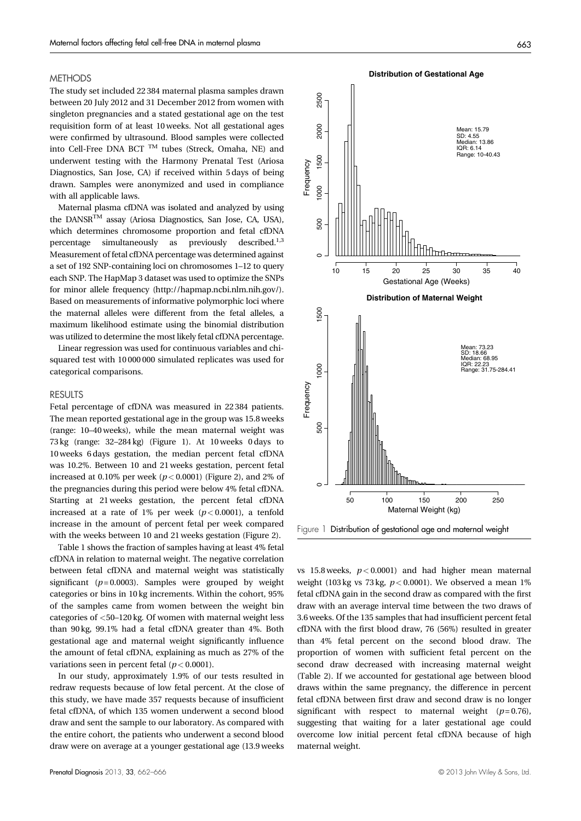# **METHODS**

The study set included 22 384 maternal plasma samples drawn between 20 July 2012 and 31 December 2012 from women with singleton pregnancies and a stated gestational age on the test requisition form of at least 10 weeks. Not all gestational ages were confirmed by ultrasound. Blood samples were collected into Cell-Free DNA BCT TM tubes (Streck, Omaha, NE) and underwent testing with the Harmony Prenatal Test (Ariosa Diagnostics, San Jose, CA) if received within 5 days of being drawn. Samples were anonymized and used in compliance with all applicable laws.

Maternal plasma cfDNA was isolated and analyzed by using the DANSRTM assay (Ariosa Diagnostics, San Jose, CA, USA), which determines chromosome proportion and fetal cfDNA percentage simultaneously as previously described.<sup>1,3</sup> Measurement of fetal cfDNA percentage was determined against a set of 192 SNP-containing loci on chromosomes 1–12 to query each SNP. The HapMap 3 dataset was used to optimize the SNPs for minor allele frequency ([http://hapmap.ncbi.nlm.nih.gov/\)](http://hapmap.ncbi.nlm.nih.gov/). Based on measurements of informative polymorphic loci where the maternal alleles were different from the fetal alleles, a maximum likelihood estimate using the binomial distribution was utilized to determine the most likely fetal cfDNA percentage.

Linear regression was used for continuous variables and chisquared test with 10 000 000 simulated replicates was used for categorical comparisons.

#### RESULTS

Fetal percentage of cfDNA was measured in 22 384 patients. The mean reported gestational age in the group was 15.8 weeks (range: 10–40 weeks), while the mean maternal weight was 73 kg (range: 32–284 kg) (Figure 1). At 10 weeks 0 days to 10 weeks 6 days gestation, the median percent fetal cfDNA was 10.2%. Between 10 and 21 weeks gestation, percent fetal increased at 0.10% per week  $(p < 0.0001)$  (Figure 2), and 2% of the pregnancies during this period were below 4% fetal cfDNA. Starting at 21 weeks gestation, the percent fetal cfDNA increased at a rate of 1% per week  $(p < 0.0001)$ , a tenfold increase in the amount of percent fetal per week compared with the weeks between 10 and 21 weeks gestation (Figure 2).

Table 1 shows the fraction of samples having at least 4% fetal cfDNA in relation to maternal weight. The negative correlation between fetal cfDNA and maternal weight was statistically significant ( $p = 0.0003$ ). Samples were grouped by weight categories or bins in 10 kg increments. Within the cohort, 95% of the samples came from women between the weight bin categories of <50–120 kg. Of women with maternal weight less than 90 kg, 99.1% had a fetal cfDNA greater than 4%. Both gestational age and maternal weight significantly influence the amount of fetal cfDNA, explaining as much as 27% of the variations seen in percent fetal ( $p < 0.0001$ ).

In our study, approximately 1.9% of our tests resulted in redraw requests because of low fetal percent. At the close of this study, we have made 357 requests because of insufficient fetal cfDNA, of which 135 women underwent a second blood draw and sent the sample to our laboratory. As compared with the entire cohort, the patients who underwent a second blood draw were on average at a younger gestational age (13.9 weeks **Distribution of Gestational Age**



Figure 1 Distribution of gestational age and maternal weight

vs 15.8 weeks,  $p < 0.0001$  and had higher mean maternal weight (103 kg vs 73 kg,  $p < 0.0001$ ). We observed a mean 1% fetal cfDNA gain in the second draw as compared with the first draw with an average interval time between the two draws of 3.6 weeks. Of the 135 samples that had insufficient percent fetal cfDNA with the first blood draw, 76 (56%) resulted in greater than 4% fetal percent on the second blood draw. The proportion of women with sufficient fetal percent on the second draw decreased with increasing maternal weight (Table 2). If we accounted for gestational age between blood draws within the same pregnancy, the difference in percent fetal cfDNA between first draw and second draw is no longer significant with respect to maternal weight  $(p=0.76)$ , suggesting that waiting for a later gestational age could overcome low initial percent fetal cfDNA because of high maternal weight.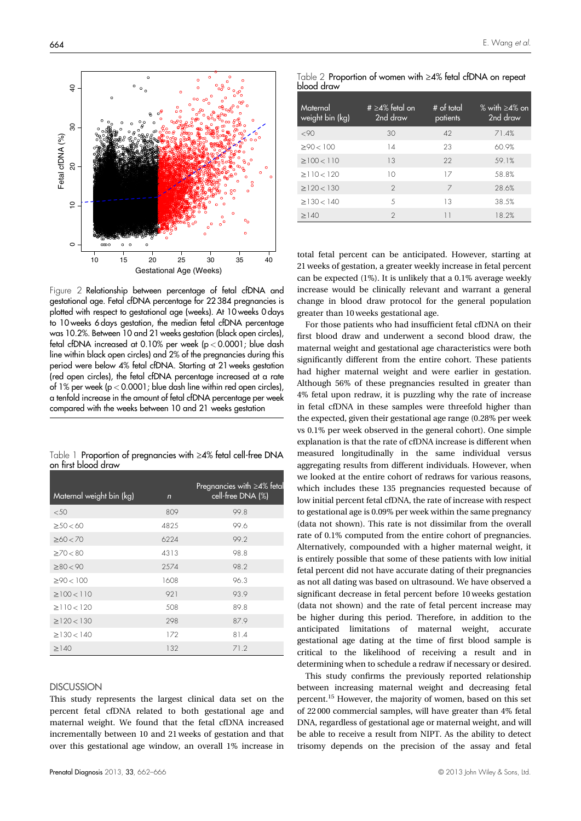

Figure 2 Relationship between percentage of fetal cfDNA and gestational age. Fetal cfDNA percentage for 22 384 pregnancies is plotted with respect to gestational age (weeks). At 10 weeks 0 days to 10 weeks 6 days gestation, the median fetal cfDNA percentage was 10.2%. Between 10 and 21 weeks gestation (black open circles), fetal cfDNA increased at 0.10% per week (p < 0.0001; blue dash line within black open circles) and 2% of the pregnancies during this period were below 4% fetal cfDNA. Starting at 21 weeks gestation (red open circles), the fetal cfDNA percentage increased at a rate of 1% per week (p  $<$  0.0001; blue dash line within red open circles), a tenfold increase in the amount of fetal cfDNA percentage per week compared with the weeks between 10 and 21 weeks gestation

Table 1 Proportion of pregnancies with ≥4% fetal cell-free DNA on first blood draw

| Maternal weight bin (kg) | n    | Pregnancies with ≥4% fetal<br>cell-free DNA (%) |
|--------------------------|------|-------------------------------------------------|
| $<$ 50                   | 809  | 99.8                                            |
| $\geq$ 50 < 60           | 4825 | 99.6                                            |
| >60 < 70                 | 6224 | 99.2                                            |
| >70 < 80                 | 4313 | 98.8                                            |
| >80 < 90                 | 2574 | 98.2                                            |
| ≥90 < 100                | 1608 | 96.3                                            |
| $\geq$ 100 < 110         | 921  | 93.9                                            |
| $\ge$ 110 < 120          | 508  | 89.8                                            |
| $\geq$ 120 < 130         | 298  | 87.9                                            |
| $\geq$ 130 < 140         | 172  | 81.4                                            |
| >140                     | 132  | 71.2                                            |

# DISCUSSION

This study represents the largest clinical data set on the percent fetal cfDNA related to both gestational age and maternal weight. We found that the fetal cfDNA increased incrementally between 10 and 21 weeks of gestation and that over this gestational age window, an overall 1% increase in

| Maternal<br>weight bin (kg) | # $\geq$ 4% fetal on<br>2nd draw | $#$ of total<br>patients | % with $\geq 4\%$ on<br>2nd draw |
|-----------------------------|----------------------------------|--------------------------|----------------------------------|
| < 90                        | 30                               | 42                       | 71.4%                            |
| $\geq 90 < 100$             | 14                               | 23                       | 60.9%                            |
| >100<110                    | 13                               | 22                       | 59.1%                            |
| $\ge$ 110 < 120             | 10                               | 17                       | 58.8%                            |
| $\geq$ 120 < 130            | $\mathcal{P}$                    | 7                        | 28.6%                            |
| $\geq$ 130 < 140            | 5                                | 13                       | 38.5%                            |
| $\geq$ 140                  | 2                                | 11                       | 18.2%                            |

Table 2 Proportion of women with ≥4% fetal cfDNA on repeat

blood draw

total fetal percent can be anticipated. However, starting at 21 weeks of gestation, a greater weekly increase in fetal percent can be expected (1%). It is unlikely that a 0.1% average weekly increase would be clinically relevant and warrant a general change in blood draw protocol for the general population greater than 10 weeks gestational age.

For those patients who had insufficient fetal cfDNA on their first blood draw and underwent a second blood draw, the maternal weight and gestational age characteristics were both significantly different from the entire cohort. These patients had higher maternal weight and were earlier in gestation. Although 56% of these pregnancies resulted in greater than 4% fetal upon redraw, it is puzzling why the rate of increase in fetal cfDNA in these samples were threefold higher than the expected, given their gestational age range (0.28% per week vs 0.1% per week observed in the general cohort). One simple explanation is that the rate of cfDNA increase is different when measured longitudinally in the same individual versus aggregating results from different individuals. However, when we looked at the entire cohort of redraws for various reasons, which includes these 135 pregnancies requested because of low initial percent fetal cfDNA, the rate of increase with respect to gestational age is 0.09% per week within the same pregnancy (data not shown). This rate is not dissimilar from the overall rate of 0.1% computed from the entire cohort of pregnancies. Alternatively, compounded with a higher maternal weight, it is entirely possible that some of these patients with low initial fetal percent did not have accurate dating of their pregnancies as not all dating was based on ultrasound. We have observed a significant decrease in fetal percent before 10 weeks gestation (data not shown) and the rate of fetal percent increase may be higher during this period. Therefore, in addition to the anticipated limitations of maternal weight, accurate gestational age dating at the time of first blood sample is critical to the likelihood of receiving a result and in determining when to schedule a redraw if necessary or desired.

This study confirms the previously reported relationship between increasing maternal weight and decreasing fetal percent.<sup>15</sup> However, the majority of women, based on this set of 22 000 commercial samples, will have greater than 4% fetal DNA, regardless of gestational age or maternal weight, and will be able to receive a result from NIPT. As the ability to detect trisomy depends on the precision of the assay and fetal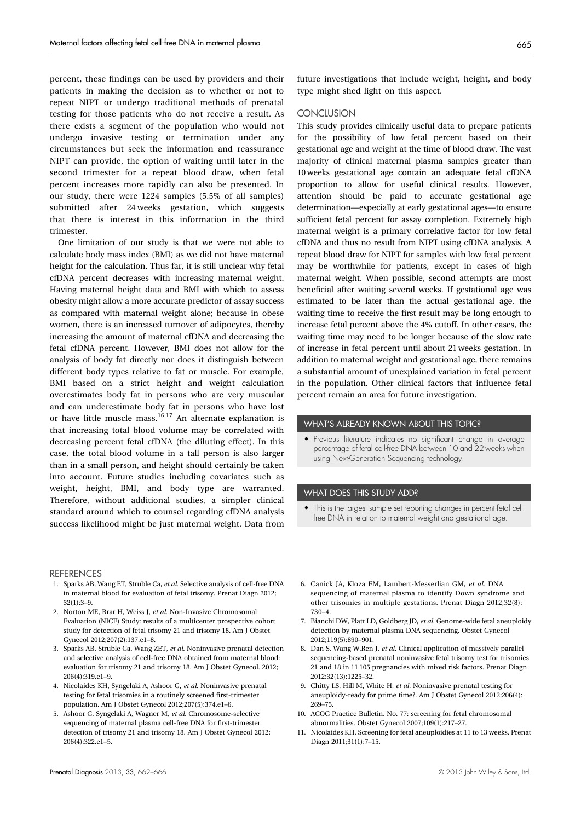percent, these findings can be used by providers and their patients in making the decision as to whether or not to repeat NIPT or undergo traditional methods of prenatal testing for those patients who do not receive a result. As there exists a segment of the population who would not undergo invasive testing or termination under any circumstances but seek the information and reassurance NIPT can provide, the option of waiting until later in the second trimester for a repeat blood draw, when fetal percent increases more rapidly can also be presented. In our study, there were 1224 samples (5.5% of all samples) submitted after 24 weeks gestation, which suggests that there is interest in this information in the third trimester.

One limitation of our study is that we were not able to calculate body mass index (BMI) as we did not have maternal height for the calculation. Thus far, it is still unclear why fetal cfDNA percent decreases with increasing maternal weight. Having maternal height data and BMI with which to assess obesity might allow a more accurate predictor of assay success as compared with maternal weight alone; because in obese women, there is an increased turnover of adipocytes, thereby increasing the amount of maternal cfDNA and decreasing the fetal cfDNA percent. However, BMI does not allow for the analysis of body fat directly nor does it distinguish between different body types relative to fat or muscle. For example, BMI based on a strict height and weight calculation overestimates body fat in persons who are very muscular and can underestimate body fat in persons who have lost or have little muscle mass.<sup>16,17</sup> An alternate explanation is that increasing total blood volume may be correlated with decreasing percent fetal cfDNA (the diluting effect). In this case, the total blood volume in a tall person is also larger than in a small person, and height should certainly be taken into account. Future studies including covariates such as weight, height, BMI, and body type are warranted. Therefore, without additional studies, a simpler clinical standard around which to counsel regarding cfDNA analysis success likelihood might be just maternal weight. Data from

#### REFERENCES

- 1. Sparks AB, Wang ET, Struble Ca, et al. Selective analysis of cell-free DNA in maternal blood for evaluation of fetal trisomy. Prenat Diagn 2012; 32(1):3–9.
- 2. Norton ME, Brar H, Weiss J, et al. Non-Invasive Chromosomal Evaluation (NICE) Study: results of a multicenter prospective cohort study for detection of fetal trisomy 21 and trisomy 18. Am J Obstet Gynecol 2012;207(2):137.e1–8.
- 3. Sparks AB, Struble Ca, Wang ZET, et al. Noninvasive prenatal detection and selective analysis of cell-free DNA obtained from maternal blood: evaluation for trisomy 21 and trisomy 18. Am J Obstet Gynecol. 2012; 206(4):319.e1–9.
- 4. Nicolaides KH, Syngelaki A, Ashoor G, et al. Noninvasive prenatal testing for fetal trisomies in a routinely screened first-trimester population. Am J Obstet Gynecol 2012;207(5):374.e1–6.
- 5. Ashoor G, Syngelaki A, Wagner M, et al. Chromosome-selective sequencing of maternal plasma cell-free DNA for first-trimester detection of trisomy 21 and trisomy 18. Am J Obstet Gynecol 2012; 206(4):322.e1–5.

future investigations that include weight, height, and body type might shed light on this aspect.

# **CONCLUSION**

This study provides clinically useful data to prepare patients for the possibility of low fetal percent based on their gestational age and weight at the time of blood draw. The vast majority of clinical maternal plasma samples greater than 10 weeks gestational age contain an adequate fetal cfDNA proportion to allow for useful clinical results. However, attention should be paid to accurate gestational age determination—especially at early gestational ages—to ensure sufficient fetal percent for assay completion. Extremely high maternal weight is a primary correlative factor for low fetal cfDNA and thus no result from NIPT using cfDNA analysis. A repeat blood draw for NIPT for samples with low fetal percent may be worthwhile for patients, except in cases of high maternal weight. When possible, second attempts are most beneficial after waiting several weeks. If gestational age was estimated to be later than the actual gestational age, the waiting time to receive the first result may be long enough to increase fetal percent above the 4% cutoff. In other cases, the waiting time may need to be longer because of the slow rate of increase in fetal percent until about 21 weeks gestation. In addition to maternal weight and gestational age, there remains a substantial amount of unexplained variation in fetal percent in the population. Other clinical factors that influence fetal percent remain an area for future investigation.

### WHAT'S ALREADY KNOWN ABOUT THIS TOPIC?

• Previous literature indicates no significant change in average percentage of fetal cell-free DNA between 10 and 22 weeks when using Next-Generation Sequencing technology.

# WHAT DOES THIS STUDY ADD?

- This is the largest sample set reporting changes in percent fetal cellfree DNA in relation to maternal weight and gestational age.
- 6. Canick JA, Kloza EM, Lambert-Messerlian GM, et al. DNA sequencing of maternal plasma to identify Down syndrome and other trisomies in multiple gestations. Prenat Diagn 2012;32(8): 730–4.
- 7. Bianchi DW, Platt LD, Goldberg JD, et al. Genome-wide fetal aneuploidy detection by maternal plasma DNA sequencing. Obstet Gynecol 2012;119(5):890–901.
- 8. Dan S, Wang W,Ren J, et al. Clinical application of massively parallel sequencing-based prenatal noninvasive fetal trisomy test for trisomies 21 and 18 in 11 105 pregnancies with mixed risk factors. Prenat Diagn 2012:32(13):1225–32.
- 9. Chitty LS, Hill M, White H, et al. Noninvasive prenatal testing for aneuploidy-ready for prime time?. Am J Obstet Gynecol 2012;206(4): 269–75.
- 10. ACOG Practice Bulletin. No. 77: screening for fetal chromosomal abnormalities. Obstet Gynecol 2007;109(1):217–27.
- 11. Nicolaides KH. Screening for fetal aneuploidies at 11 to 13 weeks. Prenat Diagn 2011;31(1):7–15.